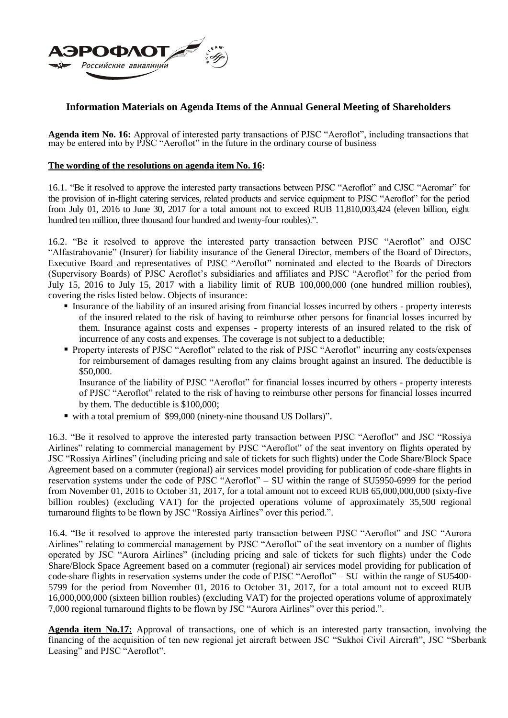

## **Information Materials on Agenda Items of the Annual General Meeting of Shareholders**

**Agenda item No. 16:** Approval of interested party transactions of PJSC "Aeroflot", including transactions that may be entered into by PJSC "Aeroflot" in the future in the ordinary course of business

## **The wording of the resolutions on agenda item No. 16:**

16.1. "Be it resolved to approve the interested party transactions between PJSC "Aeroflot" and CJSC "Aeromar" for the provision of in-flight catering services, related products and service equipment to PJSC "Aeroflot" for the period from July 01, 2016 to June 30, 2017 for a total amount not to exceed RUB 11,810,003,424 (eleven billion, eight hundred ten million, three thousand four hundred and twenty-four roubles).".

16.2. "Be it resolved to approve the interested party transaction between PJSC "Aeroflot" and OJSC "Alfastrahovanie" (Insurer) for liability insurance of the General Director, members of the Board of Directors, Executive Board and representatives of PJSC "Aeroflot" nominated and elected to the Boards of Directors (Supervisory Boards) of PJSC Aeroflot's subsidiaries and affiliates and PJSC "Aeroflot" for the period from July 15, 2016 to July 15, 2017 with a liability limit of RUB 100,000,000 (one hundred million roubles), covering the risks listed below. Objects of insurance:

- Insurance of the liability of an insured arising from financial losses incurred by others property interests of the insured related to the risk of having to reimburse other persons for financial losses incurred by them. Insurance against costs and expenses - property interests of an insured related to the risk of incurrence of any costs and expenses. The coverage is not subject to a deductible;
- Property interests of PJSC "Aeroflot" related to the risk of PJSC "Aeroflot" incurring any costs/expenses for reimbursement of damages resulting from any claims brought against an insured. The deductible is \$50,000.

Insurance of the liability of PJSC "Aeroflot" for financial losses incurred by others - property interests of PJSC "Aeroflot" related to the risk of having to reimburse other persons for financial losses incurred by them. The deductible is \$100,000;

with a total premium of \$99,000 (ninety-nine thousand US Dollars)".

16.3. "Be it resolved to approve the interested party transaction between PJSC "Aeroflot" and JSC "Rossiya Airlines" relating to commercial management by PJSC "Aeroflot" of the seat inventory on flights operated by JSC "Rossiya Airlines" (including pricing and sale of tickets for such flights) under the Code Share/Block Space Agreement based on a commuter (regional) air services model providing for publication of code-share flights in reservation systems under the code of PJSC "Aeroflot" – SU within the range of SU5950-6999 for the period from November 01, 2016 to October 31, 2017, for a total amount not to exceed RUB 65,000,000,000 (sixty-five billion roubles) (excluding VAT) for the projected operations volume of approximately 35,500 regional turnaround flights to be flown by JSC "Rossiya Airlines" over this period.".

16.4. "Be it resolved to approve the interested party transaction between PJSC "Aeroflot" and JSC "Aurora Airlines" relating to commercial management by PJSC "Aeroflot" of the seat inventory on a number of flights operated by JSC "Aurora Airlines" (including pricing and sale of tickets for such flights) under the Code Share/Block Space Agreement based on a commuter (regional) air services model providing for publication of code-share flights in reservation systems under the code of PJSC "Aeroflot" – SU within the range of SU5400- 5799 for the period from November 01, 2016 to October 31, 2017, for a total amount not to exceed RUB 16,000,000,000 (sixteen billion roubles) (excluding VAT) for the projected operations volume of approximately 7,000 regional turnaround flights to be flown by JSC "Aurora Airlines" over this period.".

**Agenda item No.17:** Approval of transactions, one of which is an interested party transaction, involving the financing of the acquisition of ten new regional jet aircraft between JSC "Sukhoi Civil Aircraft", JSC "Sberbank Leasing" and PJSC "Aeroflot".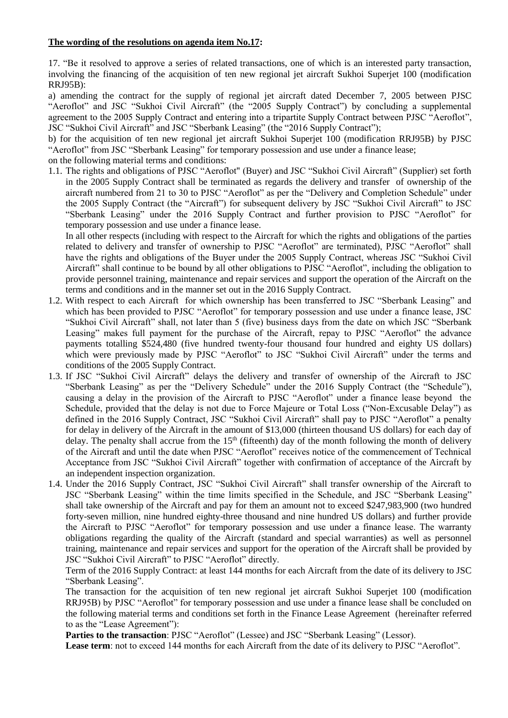## **The wording of the resolutions on agenda item No.17:**

17. "Be it resolved to approve a series of related transactions, one of which is an interested party transaction, involving the financing of the acquisition of ten new regional jet aircraft Sukhoi Superjet 100 (modification RRJ95B):

a) amending the contract for the supply of regional jet aircraft dated December 7, 2005 between PJSC "Aeroflot" and JSC "Sukhoi Civil Aircraft" (the "2005 Supply Contract") by concluding a supplemental agreement to the 2005 Supply Contract and entering into a tripartite Supply Contract between PJSC "Aeroflot", JSC "Sukhoi Civil Aircraft" and JSC "Sberbank Leasing" (the "2016 Supply Contract");

b) for the acquisition of ten new regional jet aircraft Sukhoi Superjet 100 (modification RRJ95B) by PJSC "Aeroflot" from JSC "Sberbank Leasing" for temporary possession and use under a finance lease;

on the following material terms and conditions:

1.1. The rights and obligations of PJSC "Aeroflot" (Buyer) and JSC "Sukhoi Civil Aircraft" (Supplier) set forth in the 2005 Supply Contract shall be terminated as regards the delivery and transfer of ownership of the aircraft numbered from 21 to 30 to PJSC "Aeroflot" as per the "Delivery and Completion Schedule" under the 2005 Supply Contract (the "Aircraft") for subsequent delivery by JSC "Sukhoi Civil Aircraft" to JSC "Sberbank Leasing" under the 2016 Supply Contract and further provision to PJSC "Aeroflot" for temporary possession and use under a finance lease.

In all other respects (including with respect to the Aircraft for which the rights and obligations of the parties related to delivery and transfer of ownership to PJSC "Aeroflot" are terminated), PJSC "Aeroflot" shall have the rights and obligations of the Buyer under the 2005 Supply Contract, whereas JSC "Sukhoi Civil Aircraft" shall continue to be bound by all other obligations to PJSC "Aeroflot", including the obligation to provide personnel training, maintenance and repair services and support the operation of the Aircraft on the terms and conditions and in the manner set out in the 2016 Supply Contract.

- 1.2. With respect to each Aircraft for which ownership has been transferred to JSC "Sberbank Leasing" and which has been provided to PJSC "Aeroflot" for temporary possession and use under a finance lease, JSC "Sukhoi Civil Aircraft" shall, not later than 5 (five) business days from the date on which JSC "Sberbank Leasing" makes full payment for the purchase of the Aircraft, repay to PJSC "Aeroflot" the advance payments totalling \$524,480 (five hundred twenty-four thousand four hundred and eighty US dollars) which were previously made by PJSC "Aeroflot" to JSC "Sukhoi Civil Aircraft" under the terms and conditions of the 2005 Supply Contract.
- 1.3. If JSC "Sukhoi Civil Aircraft" delays the delivery and transfer of ownership of the Aircraft to JSC "Sberbank Leasing" as per the "Delivery Schedule" under the 2016 Supply Contract (the "Schedule"), causing a delay in the provision of the Aircraft to PJSC "Aeroflot" under a finance lease beyond the Schedule, provided that the delay is not due to Force Majeure or Total Loss ("Non-Excusable Delay") as defined in the 2016 Supply Contract, JSC "Sukhoi Civil Aircraft" shall pay to PJSC "Aeroflot" a penalty for delay in delivery of the Aircraft in the amount of \$13,000 (thirteen thousand US dollars) for each day of delay. The penalty shall accrue from the  $15<sup>th</sup>$  (fifteenth) day of the month following the month of delivery of the Aircraft and until the date when PJSC "Aeroflot" receives notice of the commencement of Technical Acceptance from JSC "Sukhoi Civil Aircraft" together with confirmation of acceptance of the Aircraft by an independent inspection organization.
- 1.4. Under the 2016 Supply Contract, JSC "Sukhoi Civil Aircraft" shall transfer ownership of the Aircraft to JSC "Sberbank Leasing" within the time limits specified in the Schedule, and JSC "Sberbank Leasing" shall take ownership of the Aircraft and pay for them an amount not to exceed \$247,983,900 (two hundred forty-seven million, nine hundred eighty-three thousand and nine hundred US dollars) and further provide the Aircraft to PJSC "Aeroflot" for temporary possession and use under a finance lease. The warranty obligations regarding the quality of the Aircraft (standard and special warranties) as well as personnel training, maintenance and repair services and support for the operation of the Aircraft shall be provided by JSC "Sukhoi Civil Aircraft" to PJSC "Aeroflot" directly.

Term of the 2016 Supply Contract: at least 144 months for each Aircraft from the date of its delivery to JSC "Sberbank Leasing".

The transaction for the acquisition of ten new regional jet aircraft Sukhoi Superjet 100 (modification RRJ95B) by PJSC "Aeroflot" for temporary possession and use under a finance lease shall be concluded on the following material terms and conditions set forth in the Finance Lease Agreement (hereinafter referred to as the "Lease Agreement"):

Parties to the transaction: PJSC "Aeroflot" (Lessee) and JSC "Sberbank Leasing" (Lessor).

Lease term: not to exceed 144 months for each Aircraft from the date of its delivery to PJSC "Aeroflot".